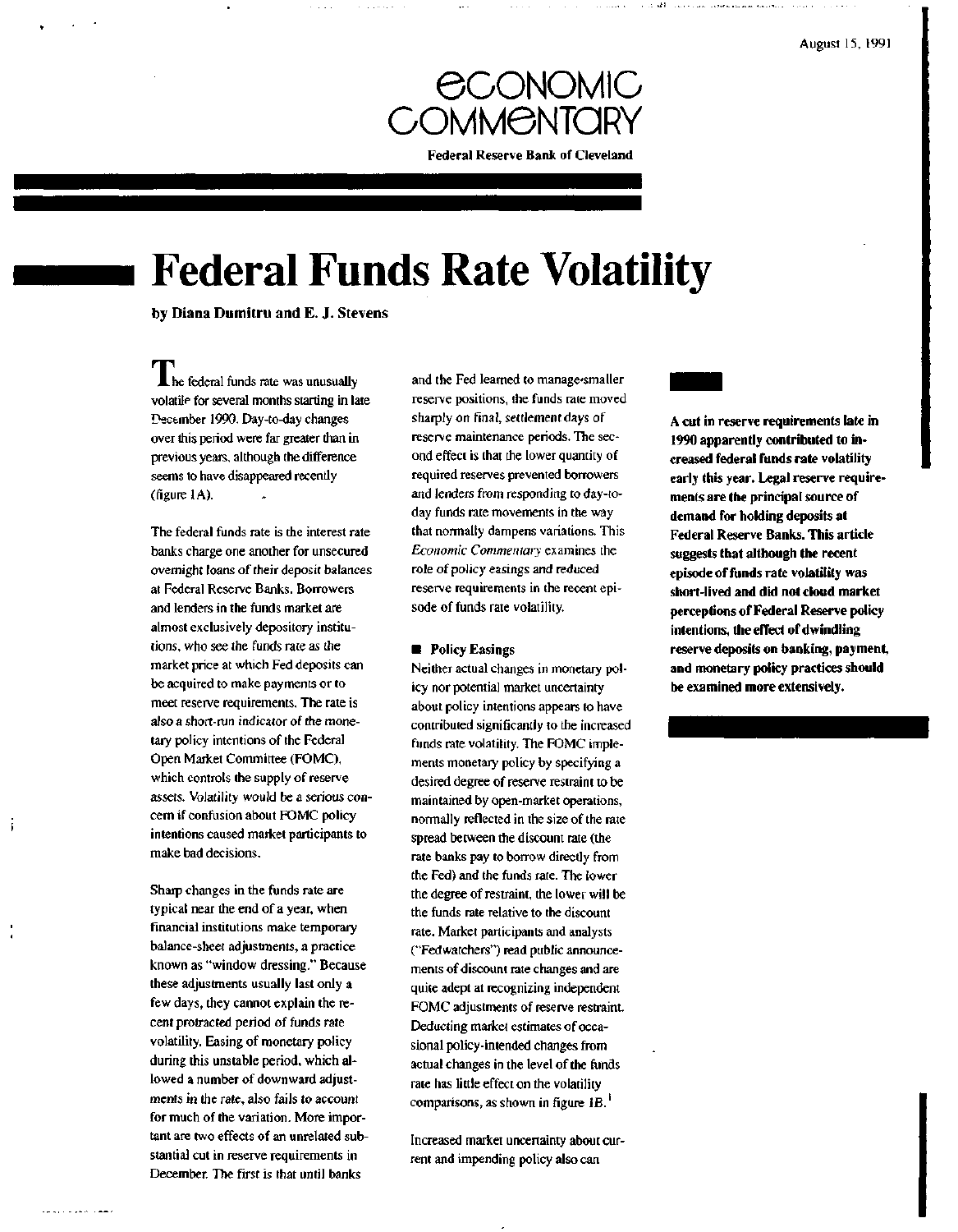

# **Federal Funds Rate Volatility**

by **Diana Dutnitru and E. J.** Stevens

j

. . . . . . . . . . **. . .** .

**L** he federal funds rate was unusually volatile for several months starting in late December 1990. Day-to-day changes over this period were far greater than in previous years, although the difference seems to have disappeared recently (figure 1A).

The federal funds rate is the interest rate banks charge one another for unsecured overnight loans of their deposit balances at Federal Reserve Banks. Borrowers and lenders in the funds market are almost exclusively depository institutions, who see the funds rate as the market price at which Fed deposits can be acquired to make payments or to meet reserve requirements. The rate is also a short-run indicator of the monetary policy intentions of the Federal Open Market Committee (FOMC), which controls the supply of reserve assets. Volatility would be a serious concern if confusion about FOMC policy intentions caused market participants to make bad decisions.

Sharp changes in the funds rate are typical near the end of a year, when financial institutions make temporary balance-sheet adjustments, a practice known as "window dressing." Because these adjustments usually last only a few days, they cannot explain the recent protracted period of funds rate volatility. Easing of monetary policy during this unstable period, which allowed a number of downward adjustments in the rate, also fails to account for much of the variation. More important are two effects of an unrelated substantial cut in reserve requirements in December. The first is that until banks

and the Fed learned to manage smaller reserve positions, the funds rate moved sharply on final, settlement days of reserve maintenance periods. The second effect is that the lower quantity of required reserves prevented borrowers and lenders from responding to day-today funds rate movements in the way that normally dampens variations. This *Economic Commentary* examines the role of policy easings and reduced reserve requirements in the recent episode of funds rate volatility.

### • **Policy** Easings

Neither actual changes in monetary policy nor potential market uncertainty about policy intentions appears to have contributed significantly to the increased funds rate volatility. The FOMC implements monetary policy by specifying a desired degree of reserve restraint to be maintained by open-market operations, normally reflected in the size of the rate spread between the discount rate (the rate banks pay to borrow directly from the Fed) and the funds rate. The lower the degree of restraint, the lower will be the funds rate relative to the discount rate. Market participants and analysts ("Fedwatchers") read public announcements of discount rate changes and are quite adept at recognizing independent FOMC adjustments of reserve restraint. Deducting market estimates of occasional policy-intended changes from actual changes in the level of the funds rate has little effect on the volatility comparisons, as shown in figure 1B.<sup>1</sup>

Increased market uncertainty about current and impending policy also can

**A cut in reserve requirements late in 1990 apparently contributed to increased federal funds rate volatility early this year. Legal reserve requirements are the principal source of demand for holding deposits at Federal Reserve Banks. This article suggests that although the recent episode of funds rate volatility was short-lived and did not cloud market perceptions of Federal Reserve policy intentions, the effect of dwindling reserve deposits on banking, payment, and monetary policy practices should be examined more extensively.**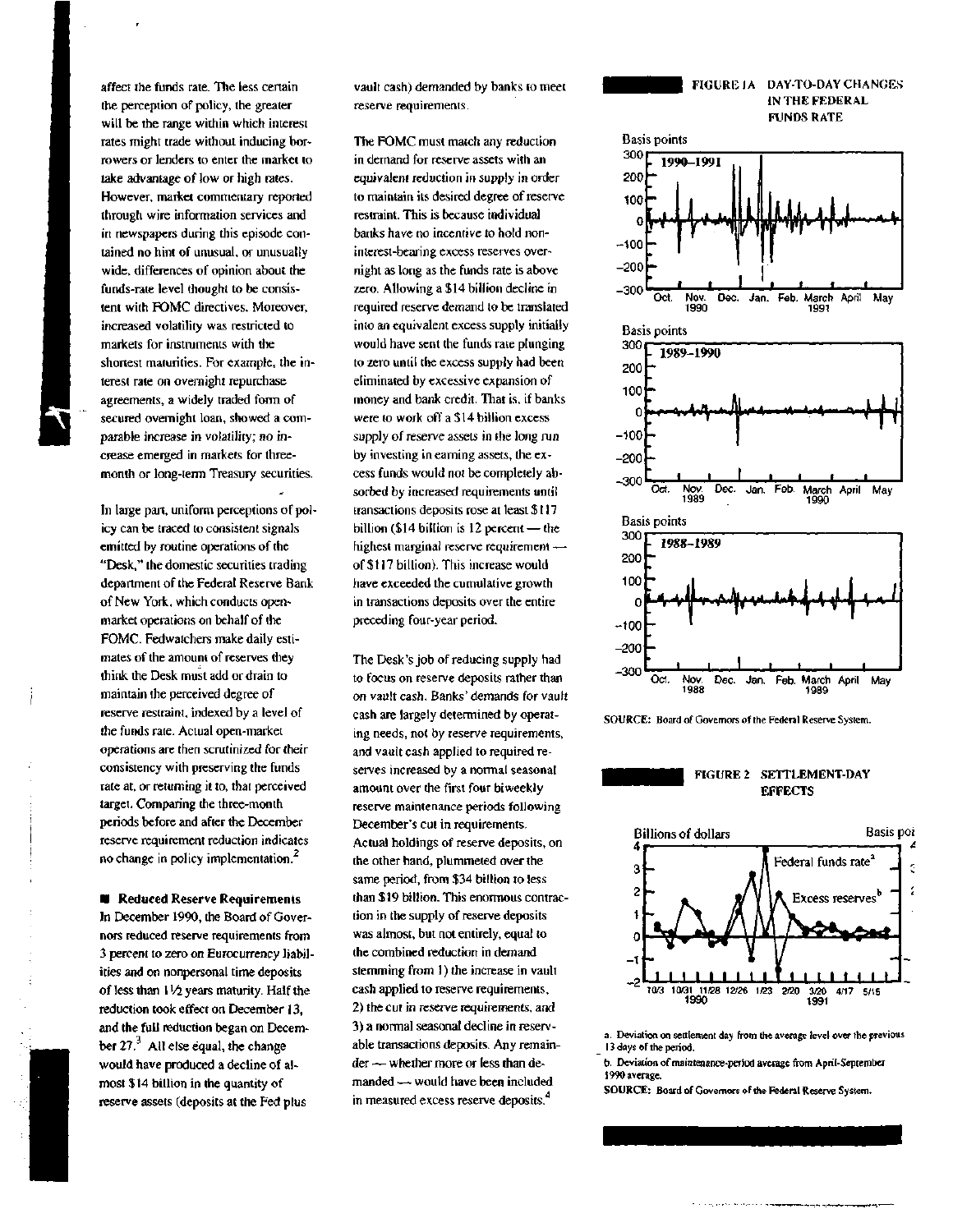affect the funds rate. The less certain the perception of policy, the greater will be the range within which interest rates might trade without inducing borrowers or lenders to enter the market to take advantage of low or high rates. However, market commentary reported through wire information services and in newspapers during this episode contained no hint of unusual, or unusually wide, differences of opinion about the funds-rate level thought to be consistent with FOMC directives. Moreover, increased volatility was restricted to markets for instruments with the shortest maturities. For example, the interest rate on overnight repurchase agreements, a widely traded form of secured overnight loan, showed a comparable increase in volatility; no increase emerged in markets for threemonth or long-term Treasury securities.

In large part, uniform perceptions of policy can be traced to consistent signals emitted by routine operations of the "Desk," the domestic securities trading department of the Federal Reserve Bank of New York, which conducts openmarket operations on behalf of the FOMC. Fedwatchers make daily estimates of the amount of reserves they think the Desk must add or drain to maintain the perceived degree of reserve restraint, indexed by a level of the funds rate. Actual open-market operations are then scrutinized for their consistency with preserving the funds rate at, or returning it to, that perceived target. Comparing the three-month periods before and after the December reserve requirement reduction indicates no change in policy implementation. $<sup>2</sup>$ </sup>

**• Reduced Reserve Requirements** In December 1990, the Board of Governors reduced reserve requirements from 3 percent to zero on Eurocurrency liabilities and on nonpersonal time deposits of less than 1*<sup>x</sup>/i* years maturity. Half the reduction took effect on December 13, and the full reduction began on December  $27<sup>3</sup>$ . All else equal, the change would have produced a decline of almost \$14 billion in the quantity of reserve assets (deposits at the Fed plus

vault cash) demanded by banks to meet reserve requirements.

The FOMC must match any reduction in demand for reserve assets with an equivalent reduction in supply in order to maintain its desired degree of reserve restraint. This is because individual banks have no incentive to hold noninterest-bearing excess reserves overnight as long as the funds rate is above zero. Allowing a \$14 billion decline in required reserve demand to be translated into an equivalent excess supply initially would have sent the funds rate plunging to zero until the excess supply had been eliminated by excessive expansion of money and bank credit. That is, if banks were to work off a \$14 billion excess supply of reserve assets in the long run by investing in earning assets, the excess funds would not be completely absorbed by increased requirements until transactions deposits rose at least \$ 117 billion (\$14 billion is 12 percent — the highest marginal reserve requirement of \$117 billion). This increase would have exceeded the cumulative growth in transactions deposits over the entire preceding four-year period.

The Desk's job of reducing supply had to focus on reserve deposits rather than on vault cash. Banks' demands for vault cash are largely determined by operating needs, not by reserve requirements, and vault cash applied to required reserves increased by a normal seasonal amount over the first four biweekly reserve maintenance periods following December's cut in requirements. Actual holdings of reserve deposits, on the other hand, plummeted over the same period, from \$34 billion to less than \$19 billion. This enormous contraction in the supply of reserve deposits was almost, but not entirely, equal to the combined reduction in demand stemming from 1) the increase in vault cash applied to reserve requirements, 2) the cut in reserve requirements, and 3) a normal seasonal decline in reservable transactions deposits. Any remainder — whether more or less than demanded — would have been included in measured excess reserve deposits.<sup>4</sup>





SOURCE: Board of Governors of the Federal Reserve System.





a. Deviation on settlement day from the average level over the previous 13 days of the period.

b. Deviation of maintenance-period average from April-September 1990 average.

**SOURCE:** Board of Governors of the Federal Reserve System.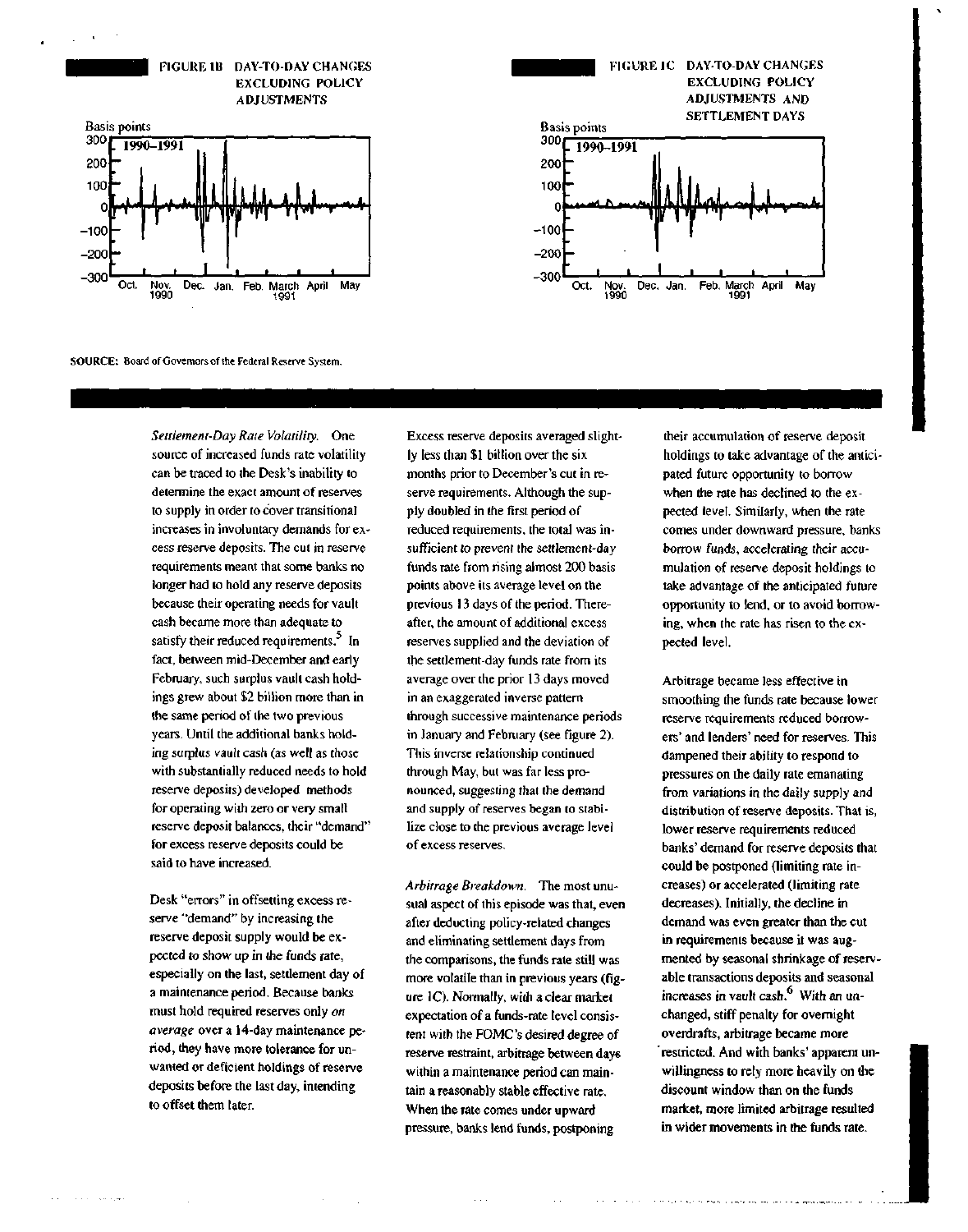





SOURCE: Board of Governors of Ihe Federal Reserve System.

*Settlement-Day Rate Volatility.* One source of increased funds rate volatility can be traced to the Desk's inability to determine the exact amount of reserves to supply in order to cover transitional increases in involuntary demands for excess reserve deposits. The cut in reserve requirements meant that some banks no longer had to hold any reserve deposits because their operating needs for vault cash became more than adequate to satisfy their reduced requirements. $3$  In fact, between mid-December and early February, such surplus vault cash holdings grew about \$2 billion more than in the same period of the two previous years. Until the additional banks holding surplus vault cash (as well as those with substantially reduced needs to hold reserve deposits) developed methods for operating with zero or very small reserve deposit balances, their "demand" for excess reserve deposits could be said to have increased.

Desk "errors" in offsetting excess reserve "demand" by increasing the reserve deposit supply would be expected to show up in the funds rate, especially on the last, settlement day of a maintenance period. Because banks must hold required reserves only *on average* over a 14-day maintenance period, they have more tolerance for unwanted or deficient holdings of reserve deposits before the last day, intending to offset them later.

ولها والتروات والمحادث

Excess reserve deposits averaged slightly less than \$1 billion over the six months prior to December's cut in reserve requirements. Although the supply doubled in the first period of reduced requirements, the total was insufficient to prevent the settlement-day funds rate from rising almost 200 basis points above its average level on the previous 13 days of the period. Thereafter, the amount of additional excess reserves supplied and the deviation of the settlement-day funds rate from its average over the prior 13 days moved in an exaggerated inverse pattern through successive maintenance periods in January and February (see figure 2). This inverse relationship continued through May, but was far less pronounced, suggesting that the demand and supply of reserves began to stabilize close to the previous average level of excess reserves.

*Arbitrage Breakdown.* The most unusual aspect of this episode was that, even after deducting policy-related changes and eliminating settlement days from the comparisons, the funds rate still was more volatile than in previous years (figure 1C). Normally, with a clear market expectation of a funds-rate level consistent with the FOMC's desired degree of reserve restraint, arbitrage between days within a maintenance period can maintain a reasonably stable effective rate. When the rate comes under upward pressure, banks lend funds, postponing

their accumulation of reserve deposit holdings to take advantage of the anticipated future opportunity to borrow when the rate has declined to the expected level. Similarly, when the rate comes under downward pressure, banks borrow funds, accelerating their accumulation of reserve deposit holdings to take advantage of the anticipated future opportunity to lend, or to avoid borrowing, when the rate has risen to the expected level.

Arbitrage became less effective in smoothing the funds rate because lower reserve requirements reduced borrowers' and lenders' need for reserves. This dampened their ability to respond to pressures on the daily rate emanating from variations in the daily supply and distribution of reserve deposits. That is, lower reserve requirements reduced banks' demand for reserve deposits that could be postponed (limiting rate increases) or accelerated (limiting rate decreases). Initially, the decline in demand was even greater than the cut in requirements because it was augmented by seasonal shrinkage of reservable transactions deposits and seasonal increases in vault cash. $<sup>6</sup>$  With an un-</sup> changed, stiff penalty for overnight overdrafts, arbitrage became more restricted. And with banks' apparent unwillingness to rely more heavily on the discount window than on the funds market, more limited arbitrage resulted in wider movements in the funds rate.